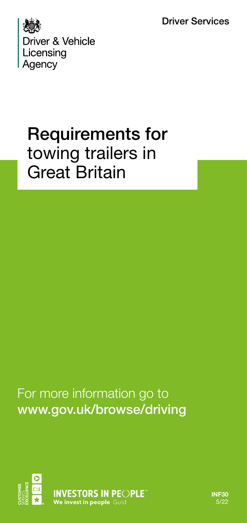Driver Services



# Requirements for towing trailers in Great Britain

For more information go to www.gov.uk/browse/driving



**INF30** 5/22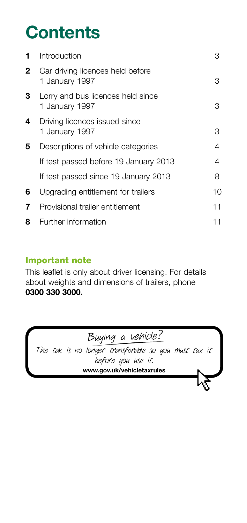# **Contents**

| 1. | Introduction                                        | З  |
|----|-----------------------------------------------------|----|
| 2  | Car driving licences held before<br>1 January 1997  | З  |
| 3  | Lorry and bus licences held since<br>1 January 1997 | З  |
| 4  | Driving licences issued since<br>1 January 1997     | З  |
| 5  | Descriptions of vehicle categories                  | 4  |
|    | If test passed before 19 January 2013               | 4  |
|    | If test passed since 19 January 2013                | 8  |
| 6  | Upgrading entitlement for trailers                  | 10 |
| 7  | Provisional trailer entitlement                     | 11 |
| 8  | Further information                                 | 11 |
|    |                                                     |    |

#### Important note

This leaflet is only about driver licensing. For details about weights and dimensions of trailers, phone **0300 330 3000.**

| Buying a vehicle?                                                          |
|----------------------------------------------------------------------------|
| The tax is no longer transferable so you must tax it<br>before you use it. |
| www.gov.uk/vehicletaxrules                                                 |
|                                                                            |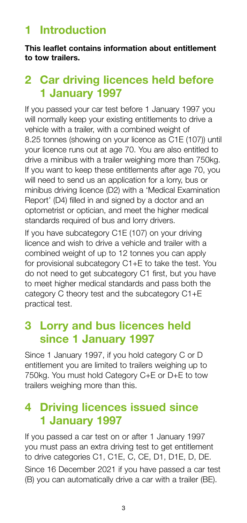# **1 Introduction**

**This leaflet contains information about entitlement to tow trailers.** 

# **2 Car driving licences held before 1 January 1997**

If you passed your car test before 1 January 1997 you will normally keep your existing entitlements to drive a vehicle with a trailer, with a combined weight of 8.25 tonnes (showing on your licence as C1E (107)) until your licence runs out at age 70. You are also entitled to drive a minibus with a trailer weighing more than 750kg. If you want to keep these entitlements after age 70, you will need to send us an application for a lorry, bus or minibus driving licence (D2) with a 'Medical Examination Report' (D4) filled in and signed by a doctor and an optometrist or optician, and meet the higher medical standards required of bus and lorry drivers.

If you have subcategory C1E (107) on your driving licence and wish to drive a vehicle and trailer with a combined weight of up to 12 tonnes you can apply for provisional subcategory C1+E to take the test. You do not need to get subcategory C1 first, but you have to meet higher medical standards and pass both the category C theory test and the subcategory C1+E practical test.

## **3 Lorry and bus licences held since 1 January 1997**

Since 1 January 1997, if you hold category C or D entitlement you are limited to trailers weighing up to 750kg. You must hold Category C+E or D+E to tow trailers weighing more than this.

# **4 Driving licences issued since 1 January 1997**

If you passed a car test on or after 1 January 1997 you must pass an extra driving test to get entitlement to drive categories C1, C1E, C, CE, D1, D1E, D, DE. Since 16 December 2021 if you have passed a car test (B) you can automatically drive a car with a trailer (BE).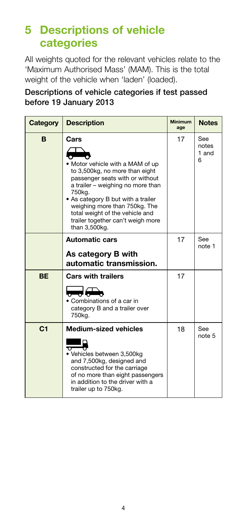# **5 Descriptions of vehicle categories**

All weights quoted for the relevant vehicles relate to the 'Maximum Authorised Mass' (MAM). This is the total weight of the vehicle when 'laden' (loaded).

Descriptions of vehicle categories if test passed before 19 January 2013

| Category       | <b>Description</b>                                                                                                                                                                                                                                                                                                                                                                                                                                        | <b>Minimum</b><br>age | <b>Notes</b>               |
|----------------|-----------------------------------------------------------------------------------------------------------------------------------------------------------------------------------------------------------------------------------------------------------------------------------------------------------------------------------------------------------------------------------------------------------------------------------------------------------|-----------------------|----------------------------|
| B              | Cars<br>• Motor vehicle with a MAM of up<br>to 3,500kg, no more than eight<br>passenger seats with or without<br>a trailer - weighing no more than<br>750kg.<br>• As category B but with a trailer<br>weighing more than 750kg. The<br>total weight of the vehicle and<br>trailer together can't weigh more<br>than 3,500kg.                                                                                                                              | 17                    | See<br>notes<br>1 and<br>6 |
|                | <b>Automatic cars</b><br>As category B with<br>automatic transmission.                                                                                                                                                                                                                                                                                                                                                                                    | 17                    | See<br>note 1              |
| <b>BE</b>      | <b>Cars with trailers</b><br>$\overline{a}$ , $\overline{a}$ , $\overline{a}$ , $\overline{a}$ , $\overline{a}$ , $\overline{a}$ , $\overline{a}$ , $\overline{a}$ , $\overline{a}$ , $\overline{a}$ , $\overline{a}$ , $\overline{a}$ , $\overline{a}$ , $\overline{a}$ , $\overline{a}$ , $\overline{a}$ , $\overline{a}$ , $\overline{a}$ , $\overline{a}$ , $\overline{a}$ ,<br>• Combinations of a car in<br>category B and a trailer over<br>750kg. | 17                    |                            |
| C <sub>1</sub> | <b>Medium-sized vehicles</b><br>U<br>• Vehicles between 3,500kg<br>and 7,500kg, designed and<br>constructed for the carriage<br>of no more than eight passengers<br>in addition to the driver with a<br>trailer up to 750kg.                                                                                                                                                                                                                              | 18                    | <b>See</b><br>note 5       |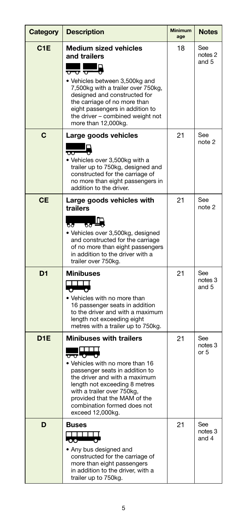| Category         | <b>Description</b>                                                                                                                                                                                                                                                                                                     | <b>Minimum</b><br>age | <b>Notes</b>            |
|------------------|------------------------------------------------------------------------------------------------------------------------------------------------------------------------------------------------------------------------------------------------------------------------------------------------------------------------|-----------------------|-------------------------|
| C <sub>1</sub> E | <b>Medium sized vehicles</b><br>and trailers<br><del>ਹਰ</del> ਹ<br>• Vehicles between 3,500kg and<br>7,500kg with a trailer over 750kg,<br>designed and constructed for<br>the carriage of no more than<br>eight passengers in addition to<br>the driver - combined weight not<br>more than 12,000kg.                  | 18                    | See<br>notes 2<br>and 5 |
| C                | Large goods vehicles<br>$\overline{\circ}$<br>• Vehicles over 3,500kg with a<br>trailer up to 750kg, designed and<br>constructed for the carriage of<br>no more than eight passengers in<br>addition to the driver.                                                                                                    | 21                    | See<br>note 2           |
| <b>CE</b>        | Large goods vehicles with<br>trailers<br>58.<br>ზბ<br>· Vehicles over 3,500kg, designed<br>and constructed for the carriage<br>of no more than eight passengers<br>in addition to the driver with a<br>trailer over 750kg.                                                                                             | 21                    | See<br>note 2           |
| D <sub>1</sub>   | <b>Minibuses</b><br>$\Box$<br>ъ<br>• Vehicles with no more than<br>16 passenger seats in addition<br>to the driver and with a maximum<br>length not exceeding eight<br>metres with a trailer up to 750kg.                                                                                                              | 21                    | See<br>notes 3<br>and 5 |
| D <sub>1E</sub>  | <b>Minibuses with trailers</b><br>$\Box$<br><del>ಕ</del> ಾರಿ—್<br>• Vehicles with no more than 16<br>passenger seats in addition to<br>the driver and with a maximum<br>length not exceeding 8 metres<br>with a trailer over 750kg,<br>provided that the MAM of the<br>combination formed does not<br>exceed 12,000kg. | 21                    | See<br>notes 3<br>or 5  |
| D                | <b>Buses</b><br>T TILLI<br>$\infty$ $-$<br>• Any bus designed and<br>constructed for the carriage of<br>more than eight passengers<br>in addition to the driver, with a<br>trailer up to 750kg.                                                                                                                        | 21                    | See<br>notes 3<br>and 4 |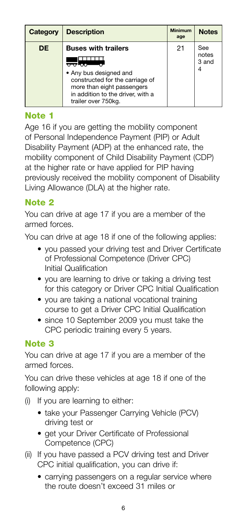| Category | <b>Description</b>                                                                                                                                                                | <b>Minimum</b><br>age | <b>Notes</b>          |
|----------|-----------------------------------------------------------------------------------------------------------------------------------------------------------------------------------|-----------------------|-----------------------|
| DE       | <b>Buses with trailers</b><br>• Any bus designed and<br>constructed for the carriage of<br>more than eight passengers<br>in addition to the driver, with a<br>trailer over 750kg. | 21                    | See<br>notes<br>3 and |

#### Note 1

Age 16 if you are getting the mobility component of Personal Independence Payment (PIP) or Adult Disability Payment (ADP) at the enhanced rate, the mobility component of Child Disability Payment (CDP) at the higher rate or have applied for PIP having previously received the mobility component of Disability Living Allowance (DLA) at the higher rate.

#### Note 2

You can drive at age 17 if you are a member of the armed forces.

You can drive at age 18 if one of the following applies:

- you passed your driving test and Driver Certificate of Professional Competence (Driver CPC) Initial Qualification
- you are learning to drive or taking a driving test for this category or Driver CPC Initial Qualification
- you are taking a national vocational training course to get a Driver CPC Initial Qualification
- since 10 September 2009 you must take the CPC periodic training every 5 years.

#### Note 3

You can drive at age 17 if you are a member of the armed forces.

You can drive these vehicles at age 18 if one of the following apply:

- (i) If you are learning to either:
	- take your Passenger Carrying Vehicle (PCV) driving test or
	- get your Driver Certificate of Professional Competence (CPC)
- (ii) If you have passed a PCV driving test and Driver CPC initial qualification, you can drive if:
	- carrying passengers on a regular service where the route doesn't exceed 31 miles or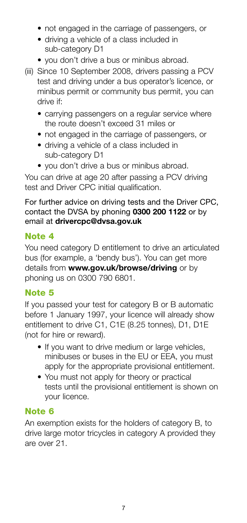- not engaged in the carriage of passengers, or
- driving a vehicle of a class included in sub-category D1
- you don't drive a bus or minibus abroad.
- (iii) Since 10 September 2008, drivers passing a PCV test and driving under a bus operator's licence, or minibus permit or community bus permit, you can drive if:
	- carrying passengers on a regular service where the route doesn't exceed 31 miles or
	- not engaged in the carriage of passengers, or
	- driving a vehicle of a class included in sub-category D1
	- you don't drive a bus or minibus abroad.

You can drive at age 20 after passing a PCV driving test and Driver CPC initial qualification.

For further advice on driving tests and the Driver CPC, contact the DVSA by phoning **0300 200 1122** or by email at **drivercpc@dvsa.gov.uk**

#### Note 4

You need category D entitlement to drive an articulated bus (for example, a 'bendy bus'). You can get more details from **www.gov.uk/browse/driving** or by phoning us on 0300 790 6801.

#### Note 5

If you passed your test for category B or B automatic before 1 January 1997, your licence will already show entitlement to drive C1, C1E (8.25 tonnes), D1, D1E (not for hire or reward).

- If you want to drive medium or large vehicles, minibuses or buses in the EU or EEA, you must apply for the appropriate provisional entitlement.
- You must not apply for theory or practical tests until the provisional entitlement is shown on your licence.

#### Note 6

An exemption exists for the holders of category B, to drive large motor tricycles in category A provided they are over 21.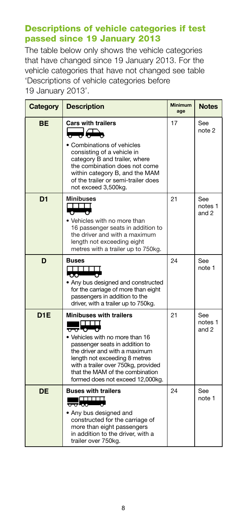#### Descriptions of vehicle categories if test passed since 19 January 2013

The table below only shows the vehicle categories that have changed since 19 January 2013. For the vehicle categories that have not changed see table 'Descriptions of vehicle categories before 19 January 2013'.

| Category        | <b>Description</b>                                                                                                                                                                                                                                                                                          | <b>Minimum</b><br>age | <b>Notes</b>            |
|-----------------|-------------------------------------------------------------------------------------------------------------------------------------------------------------------------------------------------------------------------------------------------------------------------------------------------------------|-----------------------|-------------------------|
| ВE              | <b>Cars with trailers</b><br>• Combinations of vehicles<br>consisting of a vehicle in<br>category B and trailer, where<br>the combination does not come<br>within category B, and the MAM<br>of the trailer or semi-trailer does<br>not exceed 3,500kg.                                                     | 17                    | See<br>note 2           |
| D <sub>1</sub>  | <b>Minibuses</b><br>┰┰┰┱<br>$\bullet$ $\bullet$<br>. Vehicles with no more than<br>16 passenger seats in addition to<br>the driver and with a maximum<br>length not exceeding eight<br>metres with a trailer up to 750kg.                                                                                   | 21                    | See<br>notes 1<br>and 2 |
| D               | <b>Buses</b><br>TTTTTTTTTTTTTTTTT <i>T</i><br>$\circ$ $\circ$<br>• Any bus designed and constructed<br>for the carriage of more than eight<br>passengers in addition to the<br>driver, with a trailer up to 750kg.                                                                                          | 24                    | See<br>note 1           |
| D <sub>1E</sub> | <b>Minibuses with trailers</b><br>$\frac{1}{\sqrt{2}}$<br>• Vehicles with no more than 16<br>passenger seats in addition to<br>the driver and with a maximum<br>length not exceeding 8 metres<br>with a trailer over 750kg, provided<br>that the MAM of the combination<br>formed does not exceed 12,000kg. | 21                    | See<br>notes 1<br>and 2 |
| <b>DE</b>       | <b>Buses with trailers</b><br>• Any bus designed and<br>constructed for the carriage of<br>more than eight passengers<br>in addition to the driver, with a<br>trailer over 750kg.                                                                                                                           | 24                    | See<br>note 1           |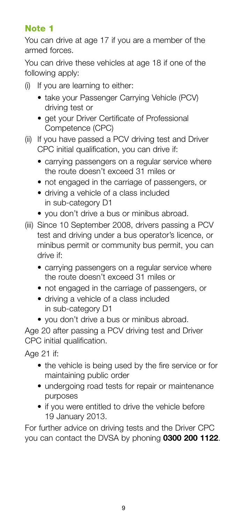#### Note 1

You can drive at age 17 if you are a member of the armed forces.

You can drive these vehicles at age 18 if one of the following apply:

- (i) If you are learning to either:
	- take your Passenger Carrying Vehicle (PCV) driving test or
	- get your Driver Certificate of Professional Competence (CPC)
- (ii) If you have passed a PCV driving test and Driver CPC initial qualification, you can drive if:
	- carrying passengers on a regular service where the route doesn't exceed 31 miles or
	- not engaged in the carriage of passengers, or
	- driving a vehicle of a class included in sub-category D1
	- you don't drive a bus or minibus abroad.
- (iii) Since 10 September 2008, drivers passing a PCV test and driving under a bus operator's licence, or minibus permit or community bus permit, you can drive if:
	- carrying passengers on a regular service where the route doesn't exceed 31 miles or
	- not engaged in the carriage of passengers, or
	- driving a vehicle of a class included in sub-category D1
	- you don't drive a bus or minibus abroad.

Age 20 after passing a PCV driving test and Driver CPC initial qualification.

Age 21 if:

- the vehicle is being used by the fire service or for maintaining public order
- undergoing road tests for repair or maintenance purposes
- if you were entitled to drive the vehicle before 19 January 2013.

For further advice on driving tests and the Driver CPC you can contact the DVSA by phoning **0300 200 1122**.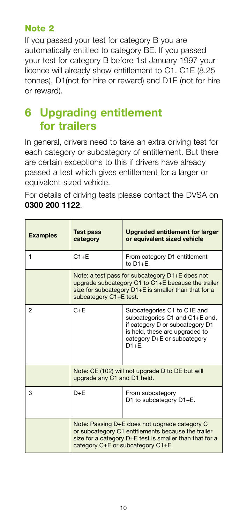#### Note 2

If you passed your test for category B you are automatically entitled to category BE. If you passed your test for category B before 1st January 1997 your licence will already show entitlement to C1, C1E (8.25 tonnes), D1(not for hire or reward) and D1E (not for hire or reward).

# **6 Upgrading entitlement for trailers**

In general, drivers need to take an extra driving test for each category or subcategory of entitlement. But there are certain exceptions to this if drivers have already passed a test which gives entitlement for a larger or equivalent-sized vehicle.

For details of driving tests please contact the DVSA on **0300 200 1122**.

| <b>Examples</b> | <b>Test pass</b><br>category                                                                                                                                                                        | Upgraded entitlement for larger<br>or equivalent sized vehicle                                                                                                                |
|-----------------|-----------------------------------------------------------------------------------------------------------------------------------------------------------------------------------------------------|-------------------------------------------------------------------------------------------------------------------------------------------------------------------------------|
| 1               | $C1 + F$                                                                                                                                                                                            | From category D1 entitlement<br>to $D1 + F$ .                                                                                                                                 |
|                 | Note: a test pass for subcategory D1+E does not<br>upgrade subcategory C1 to C1+E because the trailer<br>size for subcategory D1+E is smaller than that for a<br>subcategory C1+E test.             |                                                                                                                                                                               |
| 2               | $C + F$                                                                                                                                                                                             | Subcategories C1 to C1E and<br>subcategories C1 and C1+E and,<br>if category D or subcategory D1<br>is held, these are upgraded to<br>category D+E or subcategory<br>$D1 + F$ |
|                 | Note: CE (102) will not upgrade D to DE but will<br>upgrade any C1 and D1 held.                                                                                                                     |                                                                                                                                                                               |
| 3               | $D + E$                                                                                                                                                                                             | From subcategory<br>D1 to subcategory D1+E.                                                                                                                                   |
|                 | Note: Passing D+E does not upgrade category C<br>or subcategory C1 entitlements because the trailer<br>size for a category D+E test is smaller than that for a<br>category C+E or subcategory C1+E. |                                                                                                                                                                               |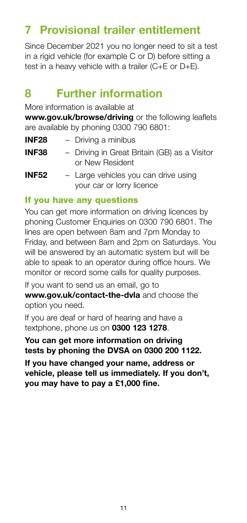# **7 Provisional trailer entitlement**

Since December 2021 you no longer need to sit a test in a rigid vehicle (for example C or D) before sitting a test in a heavy vehicle with a trailer (C+E or D+E).

## **8 Further information**

More information is available at

**www.gov.uk/browse/driving** or the following leaflets are available by phoning 0300 790 6801:

- **INF28** Driving a minibus
- **INF38** Driving in Great Britain (GB) as a Visitor or New Resident
- **INF52** Large vehicles you can drive using your car or lorry licence

#### If you have any questions

You can get more information on driving licences by phoning Customer Enquiries on 0300 790 6801. The lines are open between 8am and 7pm Monday to Friday, and between 8am and 2pm on Saturdays. You will be answered by an automatic system but will be able to speak to an operator during office hours. We monitor or record some calls for quality purposes.

If you want to send us an email, go to **www.gov.uk/contact-the-dvla** and choose the option you need.

If you are deaf or hard of hearing and have a textphone, phone us on **0300 123 1278**.

**You can get more information on driving tests by phoning the DVSA on 0300 200 1122.**

**If you have changed your name, address or vehicle, please tell us immediately. If you don't, you may have to pay a £1,000 fine.**